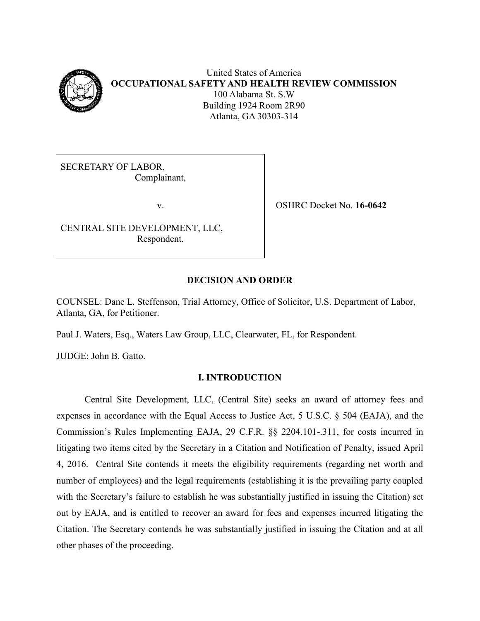

United States of America **OCCUPATIONAL SAFETY AND HEALTH REVIEW COMMISSION** 100 Alabama St. S.W Building 1924 Room 2R90 Atlanta, GA 30303-314

SECRETARY OF LABOR, Complainant,

CENTRAL SITE DEVELOPMENT, LLC, Respondent.

v. OSHRC Docket No. **16-0642**

# **DECISION AND ORDER**

COUNSEL: Dane L. Steffenson, Trial Attorney, Office of Solicitor, U.S. Department of Labor, Atlanta, GA, for Petitioner.

Paul J. Waters, Esq., Waters Law Group, LLC, Clearwater, FL, for Respondent.

JUDGE: John B. Gatto.

# **I. INTRODUCTION**

Central Site Development, LLC, (Central Site) seeks an award of attorney fees and expenses in accordance with the Equal Access to Justice Act, 5 U.S.C. § 504 (EAJA), and the Commission's Rules Implementing EAJA, 29 C.F.R. §§ 2204.101-.311, for costs incurred in litigating two items cited by the Secretary in a Citation and Notification of Penalty, issued April 4, 2016. Central Site contends it meets the eligibility requirements (regarding net worth and number of employees) and the legal requirements (establishing it is the prevailing party coupled with the Secretary's failure to establish he was substantially justified in issuing the Citation) set out by EAJA, and is entitled to recover an award for fees and expenses incurred litigating the Citation. The Secretary contends he was substantially justified in issuing the Citation and at all other phases of the proceeding.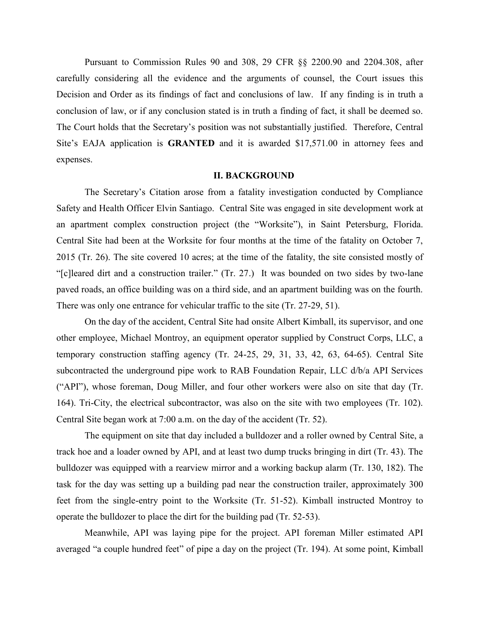Pursuant to Commission Rules 90 and 308, 29 CFR §§ 2200.90 and 2204.308, after carefully considering all the evidence and the arguments of counsel, the Court issues this Decision and Order as its findings of fact and conclusions of law. If any finding is in truth a conclusion of law, or if any conclusion stated is in truth a finding of fact, it shall be deemed so. The Court holds that the Secretary's position was not substantially justified. Therefore, Central Site's EAJA application is **GRANTED** and it is awarded \$17,571.00 in attorney fees and expenses.

#### **II. BACKGROUND**

The Secretary's Citation arose from a fatality investigation conducted by Compliance Safety and Health Officer Elvin Santiago. Central Site was engaged in site development work at an apartment complex construction project (the "Worksite"), in Saint Petersburg, Florida. Central Site had been at the Worksite for four months at the time of the fatality on October 7, 2015 (Tr. 26). The site covered 10 acres; at the time of the fatality, the site consisted mostly of "[c]leared dirt and a construction trailer." (Tr. 27.) It was bounded on two sides by two-lane paved roads, an office building was on a third side, and an apartment building was on the fourth. There was only one entrance for vehicular traffic to the site (Tr. 27-29, 51).

On the day of the accident, Central Site had onsite Albert Kimball, its supervisor, and one other employee, Michael Montroy, an equipment operator supplied by Construct Corps, LLC, a temporary construction staffing agency (Tr. 24-25, 29, 31, 33, 42, 63, 64-65). Central Site subcontracted the underground pipe work to RAB Foundation Repair, LLC d/b/a API Services ("API"), whose foreman, Doug Miller, and four other workers were also on site that day (Tr. 164). Tri-City, the electrical subcontractor, was also on the site with two employees (Tr. 102). Central Site began work at 7:00 a.m. on the day of the accident (Tr. 52).

The equipment on site that day included a bulldozer and a roller owned by Central Site, a track hoe and a loader owned by API, and at least two dump trucks bringing in dirt (Tr. 43). The bulldozer was equipped with a rearview mirror and a working backup alarm (Tr. 130, 182). The task for the day was setting up a building pad near the construction trailer, approximately 300 feet from the single-entry point to the Worksite (Tr. 51-52). Kimball instructed Montroy to operate the bulldozer to place the dirt for the building pad (Tr. 52-53).

Meanwhile, API was laying pipe for the project. API foreman Miller estimated API averaged "a couple hundred feet" of pipe a day on the project (Tr. 194). At some point, Kimball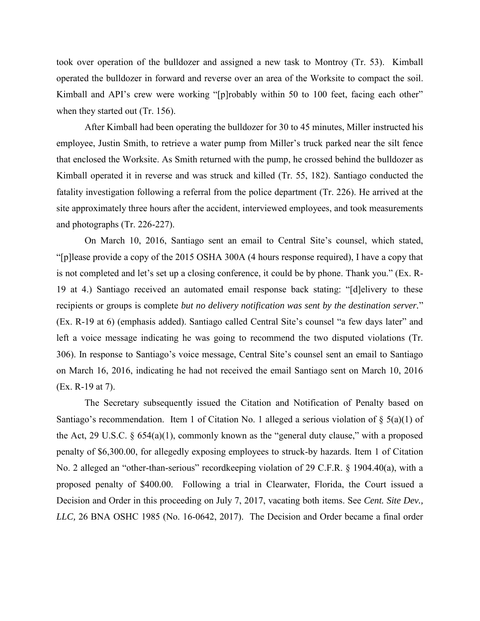took over operation of the bulldozer and assigned a new task to Montroy (Tr. 53). Kimball operated the bulldozer in forward and reverse over an area of the Worksite to compact the soil. Kimball and API's crew were working "[p]robably within 50 to 100 feet, facing each other" when they started out (Tr. 156).

After Kimball had been operating the bulldozer for 30 to 45 minutes, Miller instructed his employee, Justin Smith, to retrieve a water pump from Miller's truck parked near the silt fence that enclosed the Worksite. As Smith returned with the pump, he crossed behind the bulldozer as Kimball operated it in reverse and was struck and killed (Tr. 55, 182). Santiago conducted the fatality investigation following a referral from the police department (Tr. 226). He arrived at the site approximately three hours after the accident, interviewed employees, and took measurements and photographs (Tr. 226-227).

On March 10, 2016, Santiago sent an email to Central Site's counsel, which stated, "[p]lease provide a copy of the 2015 OSHA 300A (4 hours response required), I have a copy that is not completed and let's set up a closing conference, it could be by phone. Thank you." (Ex. R-19 at 4.) Santiago received an automated email response back stating: "[d]elivery to these recipients or groups is complete *but no delivery notification was sent by the destination server.*" (Ex. R-19 at 6) (emphasis added). Santiago called Central Site's counsel "a few days later" and left a voice message indicating he was going to recommend the two disputed violations (Tr. 306). In response to Santiago's voice message, Central Site's counsel sent an email to Santiago on March 16, 2016, indicating he had not received the email Santiago sent on March 10, 2016 (Ex. R-19 at 7).

The Secretary subsequently issued the Citation and Notification of Penalty based on Santiago's recommendation. Item 1 of Citation No. 1 alleged a serious violation of  $\S$  5(a)(1) of the Act, 29 U.S.C.  $\S$  654(a)(1), commonly known as the "general duty clause," with a proposed penalty of \$6,300.00, for allegedly exposing employees to struck-by hazards. Item 1 of Citation No. 2 alleged an "other-than-serious" recordkeeping violation of 29 C.F.R. § 1904.40(a), with a proposed penalty of \$400.00. Following a trial in Clearwater, Florida, the Court issued a Decision and Order in this proceeding on July 7, 2017, vacating both items. See *Cent. Site Dev., LLC,* 26 BNA OSHC 1985 (No. 16-0642, 2017). The Decision and Order became a final order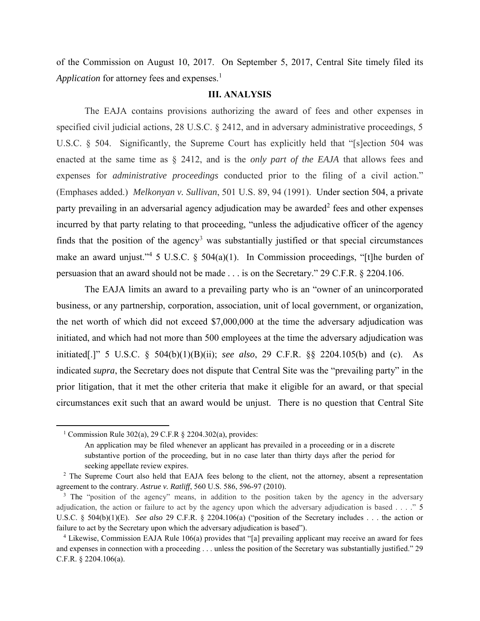of the Commission on August 10, 2017. On September 5, 2017, Central Site timely filed its *Application* for attorney fees and expenses.<sup>1</sup>

### **III. ANALYSIS**

The EAJA contains provisions authorizing the award of fees and other expenses in specified civil judicial actions, 28 U.S.C. § 2412, and in adversary administrative proceedings, 5 U.S.C. § 504. Significantly, the Supreme Court has explicitly held that "[s]ection 504 was enacted at the same time as § 2412, and is the *only part of the EAJA* that allows fees and expenses for *administrative proceedings* conducted prior to the filing of a civil action." (Emphases added.) *Melkonyan v. Sullivan*, 501 U.S. 89, 94 (1991). Under section 504, a private party prevailing in an adversarial agency adjudication may be awarded<sup>2</sup> fees and other expenses incurred by that party relating to that proceeding, "unless the adjudicative officer of the agency finds that the position of the agency<sup>3</sup> was substantially justified or that special circumstances make an award unjust."<sup>4</sup> 5 U.S.C. § 504(a)(1). In Commission proceedings, "[t]he burden of persuasion that an award should not be made . . . is on the Secretary." 29 C.F.R. § 2204.106.

The EAJA limits an award to a prevailing party who is an "owner of an unincorporated business, or any partnership, corporation, association, unit of local government, or organization, the net worth of which did not exceed \$7,000,000 at the time the adversary adjudication was initiated, and which had not more than 500 employees at the time the adversary adjudication was initiated[.]" 5 U.S.C. § 504(b)(1)(B)(ii); *see also*, 29 C.F.R. §§ 2204.105(b) and (c). As indicated *supra*, the Secretary does not dispute that Central Site was the "prevailing party" in the prior litigation, that it met the other criteria that make it eligible for an award, or that special circumstances exit such that an award would be unjust. There is no question that Central Site

 $\overline{\phantom{a}}$ 

<sup>&</sup>lt;sup>1</sup> Commission Rule 302(a), 29 C.F.R  $\&$  2204.302(a), provides:

An application may be filed whenever an applicant has prevailed in a proceeding or in a discrete substantive portion of the proceeding, but in no case later than thirty days after the period for seeking appellate review expires.

<sup>&</sup>lt;sup>2</sup> The Supreme Court also held that EAJA fees belong to the client, not the attorney, absent a representation agreement to the contrary. *Astrue v. Ratliff*, 560 U.S. 586, 596-97 (2010).

<sup>&</sup>lt;sup>3</sup> The "position of the agency" means, in addition to the position taken by the agency in the adversary adjudication, the action or failure to act by the agency upon which the adversary adjudication is based . . . ." 5 U.S.C. § 504(b)(1)(E). *See also* 29 C.F.R. § 2204.106(a) ("position of the Secretary includes . . . the action or failure to act by the Secretary upon which the adversary adjudication is based").

<sup>4</sup> Likewise, Commission EAJA Rule 106(a) provides that "[a] prevailing applicant may receive an award for fees and expenses in connection with a proceeding . . . unless the position of the Secretary was substantially justified." 29 C.F.R. § 2204.106(a).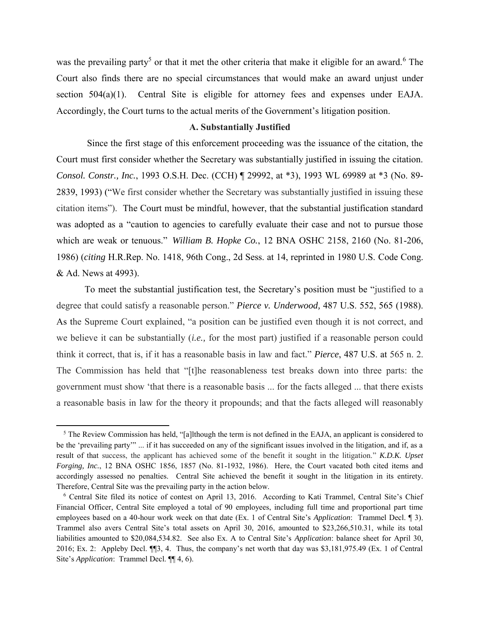was the prevailing party<sup>5</sup> or that it met the other criteria that make it eligible for an award.<sup>6</sup> The Court also finds there are no special circumstances that would make an award unjust under section 504(a)(1). Central Site is eligible for attorney fees and expenses under EAJA. Accordingly, the Court turns to the actual merits of the Government's litigation position.

### **A. Substantially Justified**

Since the first stage of this enforcement proceeding was the issuance of the citation, the Court must first consider whether the Secretary was substantially justified in issuing the citation. *Consol. Constr., Inc.*, 1993 O.S.H. Dec. (CCH) ¶ 29992, at \*3), 1993 WL 69989 at \*3 (No. 89- 2839, 1993) ("We first consider whether the Secretary was substantially justified in issuing these citation items"). The Court must be mindful, however, that the substantial justification standard was adopted as a "caution to agencies to carefully evaluate their case and not to pursue those which are weak or tenuous." *William B. Hopke Co.*, 12 BNA OSHC 2158, 2160 (No. 81-206, 1986) (*citing* H.R.Rep. No. 1418, 96th Cong., 2d Sess. at 14, reprinted in 1980 U.S. Code Cong. & Ad. News at 4993).

To meet the substantial justification test, the Secretary's position must be "justified to a degree that could satisfy a reasonable person." *Pierce v. Underwood,* 487 U.S. 552, 565 (1988). As the Supreme Court explained, "a position can be justified even though it is not correct, and we believe it can be substantially (*i.e.,* for the most part) justified if a reasonable person could think it correct, that is, if it has a reasonable basis in law and fact." *Pierce*, 487 U.S. at 565 n. 2. The Commission has held that "[t]he reasonableness test breaks down into three parts: the government must show 'that there is a reasonable basis ... for the facts alleged ... that there exists a reasonable basis in law for the theory it propounds; and that the facts alleged will reasonably

 $\overline{\phantom{a}}$ 

 $<sup>5</sup>$  The Review Commission has held, "[a]lthough the term is not defined in the EAJA, an applicant is considered to</sup> be the 'prevailing party'" ... if it has succeeded on any of the significant issues involved in the litigation, and if, as a result of that success, the applicant has achieved some of the benefit it sought in the litigation." *[K.D.K. Upset](https://1.next.westlaw.com/Link/Document/FullText?findType=Y&serNum=1986303418&pubNum=0003227&originatingDoc=Ic5fc2921fa3811d9b386b232635db992&refType=CA&fi=co_pp_sp_3227_1857&originationContext=document&transitionType=DocumentItem&contextData=(sc.Search)#co_pp_sp_3227_1857)  Forging, Inc.*[, 12 BNA OSHC 1856, 1857 \(No. 81-1932, 1986\).](https://1.next.westlaw.com/Link/Document/FullText?findType=Y&serNum=1986303418&pubNum=0003227&originatingDoc=Ic5fc2921fa3811d9b386b232635db992&refType=CA&fi=co_pp_sp_3227_1857&originationContext=document&transitionType=DocumentItem&contextData=(sc.Search)#co_pp_sp_3227_1857) Here, the Court vacated both cited items and accordingly assessed no penalties. Central Site achieved the benefit it sought in the litigation in its entirety. Therefore, Central Site was the prevailing party in the action below.

<sup>6</sup> Central Site filed its notice of contest on April 13, 2016. According to Kati Trammel, Central Site's Chief Financial Officer, Central Site employed a total of 90 employees, including full time and proportional part time employees based on a 40-hour work week on that date (Ex. 1 of Central Site's *Application*: Trammel Decl. ¶ 3). Trammel also avers Central Site's total assets on April 30, 2016, amounted to \$23,266,510.31, while its total liabilities amounted to \$20,084,534.82. See also Ex. A to Central Site's *Application*: balance sheet for April 30, 2016; Ex. 2: Appleby Decl. ¶¶3, 4. Thus, the company's net worth that day was \$3,181,975.49 (Ex. 1 of Central Site's *Application*: Trammel Decl. ¶¶ 4, 6).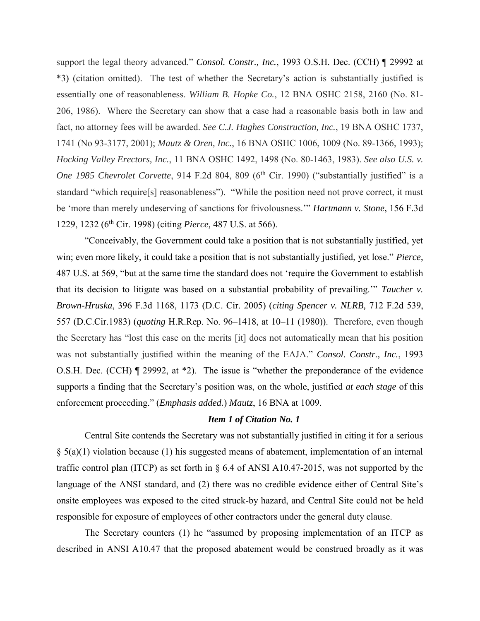support the legal theory advanced." *Consol. Constr., Inc.*, 1993 O.S.H. Dec. (CCH) ¶ 29992 at \*3) (citation omitted). The test of whether the Secretary's action is substantially justified is essentially one of reasonableness. *William B. Hopke Co.*, 12 BNA OSHC 2158, 2160 (No. 81- 206, 1986). Where the Secretary can show that a case had a reasonable basis both in law and fact, no attorney fees will be awarded. *See C.J. Hughes Construction, Inc.*, 19 BNA OSHC 1737, 1741 (No 93-3177, 2001); *Mautz & Oren, Inc.*, 16 BNA OSHC 1006, 1009 (No. 89-1366, 1993); *Hocking Valley Erectors, Inc.*, 11 BNA OSHC 1492, 1498 (No. 80-1463, 1983). *See also U.S. v. One 1985 Chevrolet Corvette*, 914 F.2d 804, 809 (6<sup>th</sup> Cir. 1990) ("substantially justified" is a standard "which require[s] reasonableness"). "While the position need not prove correct, it must be 'more than merely undeserving of sanctions for frivolousness.'" *Hartmann v. Stone*, 156 F.3d 1229, 1232 (6th Cir. 1998) (citing *Pierce,* 487 U.S. at 566).

"Conceivably, the Government could take a position that is not substantially justified, yet win; even more likely, it could take a position that is not substantially justified, yet lose." *Pierce*, 487 U.S. at 569, "but at the same time the standard does not 'require the Government to establish that its decision to litigate was based on a substantial probability of prevailing.'" *Taucher v. Brown-Hruska*, 396 F.3d 1168, 1173 (D.C. Cir. 2005) (*citing Spencer v. NLRB,* 712 F.2d 539, 557 (D.C.Cir.1983) (*quoting* H.R.Rep. No. 96–1418, at 10–11 (1980)). Therefore, even though the Secretary has "lost this case on the merits [it] does not automatically mean that his position was not substantially justified within the meaning of the EAJA." *Consol. Constr., Inc.*, 1993 O.S.H. Dec. (CCH) ¶ 29992, at \*2). The issue is "whether the preponderance of the evidence supports a finding that the Secretary's position was, on the whole, justified *at each stage* of this enforcement proceeding." (*Emphasis added.*) *Mautz*, 16 BNA at 1009.

### *Item 1 of Citation No. 1*

Central Site contends the Secretary was not substantially justified in citing it for a serious  $\S$  5(a)(1) violation because (1) his suggested means of abatement, implementation of an internal traffic control plan (ITCP) as set forth in § 6.4 of ANSI A10.47-2015, was not supported by the language of the ANSI standard, and (2) there was no credible evidence either of Central Site's onsite employees was exposed to the cited struck-by hazard, and Central Site could not be held responsible for exposure of employees of other contractors under the general duty clause.

The Secretary counters (1) he "assumed by proposing implementation of an ITCP as described in ANSI A10.47 that the proposed abatement would be construed broadly as it was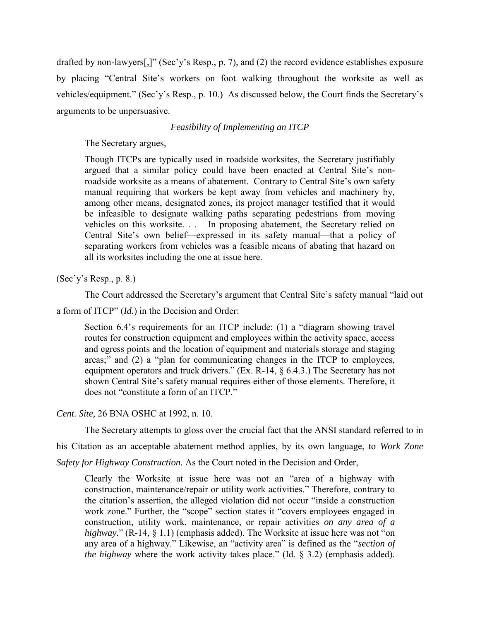drafted by non-lawyers[,]" (Sec'y's Resp., p. 7), and (2) the record evidence establishes exposure by placing "Central Site's workers on foot walking throughout the worksite as well as vehicles/equipment." (Sec'y's Resp., p. 10.) As discussed below, the Court finds the Secretary's arguments to be unpersuasive.

# *Feasibility of Implementing an ITCP*

The Secretary argues,

Though ITCPs are typically used in roadside worksites, the Secretary justifiably argued that a similar policy could have been enacted at Central Site's nonroadside worksite as a means of abatement. Contrary to Central Site's own safety manual requiring that workers be kept away from vehicles and machinery by, among other means, designated zones, its project manager testified that it would be infeasible to designate walking paths separating pedestrians from moving vehicles on this worksite. . . In proposing abatement, the Secretary relied on Central Site's own belief—expressed in its safety manual—that a policy of separating workers from vehicles was a feasible means of abating that hazard on all its worksites including the one at issue here.

(Sec'y's Resp., p. 8.)

The Court addressed the Secretary's argument that Central Site's safety manual "laid out

a form of ITCP" (*Id.*) in the Decision and Order:

Section 6.4's requirements for an ITCP include: (1) a "diagram showing travel routes for construction equipment and employees within the activity space, access and egress points and the location of equipment and materials storage and staging areas;" and (2) a "plan for communicating changes in the ITCP to employees, equipment operators and truck drivers." (Ex. R-14, § 6.4.3.) The Secretary has not shown Central Site's safety manual requires either of those elements. Therefore, it does not "constitute a form of an ITCP."

*Cent. Site,* 26 BNA OSHC at 1992, n. 10.

The Secretary attempts to gloss over the crucial fact that the ANSI standard referred to in

his Citation as an acceptable abatement method applies, by its own language, to *Work Zone* 

*Safety for Highway Construction.* As the Court noted in the Decision and Order,

Clearly the Worksite at issue here was not an "area of a highway with construction, maintenance/repair or utility work activities." Therefore, contrary to the citation's assertion, the alleged violation did not occur "inside a construction work zone." Further, the "scope" section states it "covers employees engaged in construction, utility work, maintenance, or repair activities *on any area of a highway.*" (R-14, § 1.1) (emphasis added). The Worksite at issue here was not "on any area of a highway." Likewise, an "activity area" is defined as the "*section of the highway* where the work activity takes place." (Id. § 3.2) (emphasis added).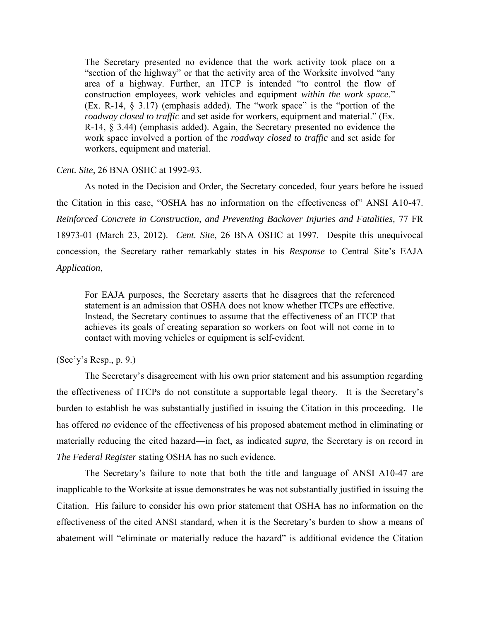The Secretary presented no evidence that the work activity took place on a "section of the highway" or that the activity area of the Worksite involved "any area of a highway. Further, an ITCP is intended "to control the flow of construction employees, work vehicles and equipment *within the work space*." (Ex. R-14, § 3.17) (emphasis added). The "work space" is the "portion of the *roadway closed to traffic* and set aside for workers, equipment and material." (Ex. R-14, § 3.44) (emphasis added). Again, the Secretary presented no evidence the work space involved a portion of the *roadway closed to traffic* and set aside for workers, equipment and material.

### *Cent. Site*, 26 BNA OSHC at 1992-93.

As noted in the Decision and Order, the Secretary conceded, four years before he issued the Citation in this case, "OSHA has no information on the effectiveness of" ANSI A10-47. *Reinforced Concrete in Construction, and Preventing Backover Injuries and Fatalities,* 77 FR 18973-01 (March 23, 2012). *Cent. Site*, 26 BNA OSHC at 1997. Despite this unequivocal concession, the Secretary rather remarkably states in his *Response* to Central Site's EAJA *Application*,

For EAJA purposes, the Secretary asserts that he disagrees that the referenced statement is an admission that OSHA does not know whether ITCPs are effective. Instead, the Secretary continues to assume that the effectiveness of an ITCP that achieves its goals of creating separation so workers on foot will not come in to contact with moving vehicles or equipment is self-evident.

# (Sec'y's Resp., p. 9.)

The Secretary's disagreement with his own prior statement and his assumption regarding the effectiveness of ITCPs do not constitute a supportable legal theory. It is the Secretary's burden to establish he was substantially justified in issuing the Citation in this proceeding. He has offered *no* evidence of the effectiveness of his proposed abatement method in eliminating or materially reducing the cited hazard—in fact, as indicated *supra*, the Secretary is on record in *The Federal Register* stating OSHA has no such evidence.

The Secretary's failure to note that both the title and language of ANSI A10-47 are inapplicable to the Worksite at issue demonstrates he was not substantially justified in issuing the Citation. His failure to consider his own prior statement that OSHA has no information on the effectiveness of the cited ANSI standard, when it is the Secretary's burden to show a means of abatement will "eliminate or materially reduce the hazard" is additional evidence the Citation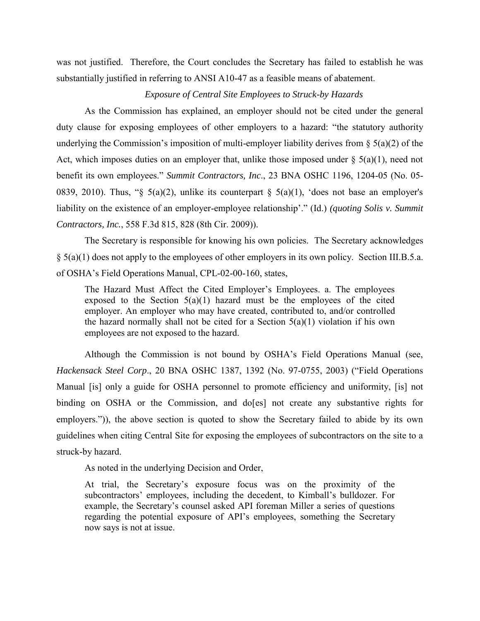was not justified. Therefore, the Court concludes the Secretary has failed to establish he was substantially justified in referring to ANSI A10-47 as a feasible means of abatement.

# *Exposure of Central Site Employees to Struck-by Hazards*

As the Commission has explained, an employer should not be cited under the general duty clause for exposing employees of other employers to a hazard: "the statutory authority underlying the Commission's imposition of multi-employer liability derives from  $\S$  5(a)(2) of the Act, which imposes duties on an employer that, unlike those imposed under  $\S$  5(a)(1), need not benefit its own employees." *Summit Contractors, Inc*., 23 BNA OSHC 1196, 1204-05 (No. 05- 0839, 2010). Thus, "§ 5(a)(2), unlike its counterpart § 5(a)(1), 'does not base an employer's liability on the existence of an employer-employee relationship'." (Id.) *(quoting Solis v. Summit Contractors, Inc.*, 558 F.3d 815, 828 (8th Cir. 2009)).

The Secretary is responsible for knowing his own policies. The Secretary acknowledges § 5(a)(1) does not apply to the employees of other employers in its own policy. Section III.B.5.a. of OSHA's Field Operations Manual, CPL-02-00-160, states,

The Hazard Must Affect the Cited Employer's Employees. a. The employees exposed to the Section  $5(a)(1)$  hazard must be the employees of the cited employer. An employer who may have created, contributed to, and/or controlled the hazard normally shall not be cited for a Section  $5(a)(1)$  violation if his own employees are not exposed to the hazard.

Although the Commission is not bound by OSHA's Field Operations Manual (see, *Hackensack Steel Corp*., 20 BNA OSHC 1387, 1392 (No. 97-0755, 2003) ("Field Operations Manual [is] only a guide for OSHA personnel to promote efficiency and uniformity, [is] not binding on OSHA or the Commission, and do[es] not create any substantive rights for employers.")), the above section is quoted to show the Secretary failed to abide by its own guidelines when citing Central Site for exposing the employees of subcontractors on the site to a struck-by hazard.

As noted in the underlying Decision and Order,

At trial, the Secretary's exposure focus was on the proximity of the subcontractors' employees, including the decedent, to Kimball's bulldozer. For example, the Secretary's counsel asked API foreman Miller a series of questions regarding the potential exposure of API's employees, something the Secretary now says is not at issue.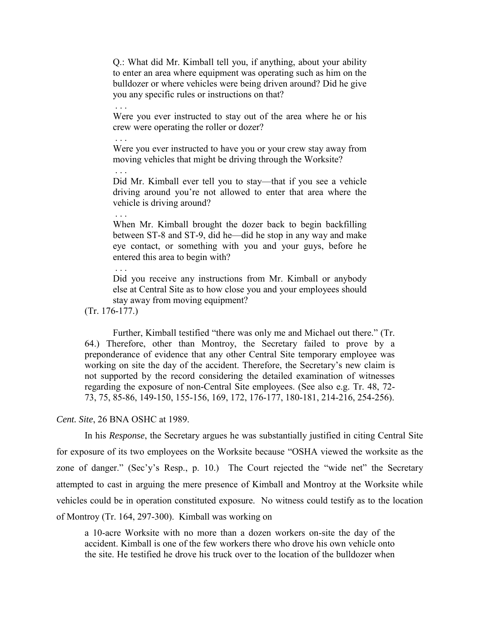Q.: What did Mr. Kimball tell you, if anything, about your ability to enter an area where equipment was operating such as him on the bulldozer or where vehicles were being driven around? Did he give you any specific rules or instructions on that?

Were you ever instructed to stay out of the area where he or his crew were operating the roller or dozer?

Were you ever instructed to have you or your crew stay away from moving vehicles that might be driving through the Worksite?

Did Mr. Kimball ever tell you to stay—that if you see a vehicle driving around you're not allowed to enter that area where the vehicle is driving around?

When Mr. Kimball brought the dozer back to begin backfilling between ST-8 and ST-9, did he—did he stop in any way and make eye contact, or something with you and your guys, before he entered this area to begin with?

Did you receive any instructions from Mr. Kimball or anybody else at Central Site as to how close you and your employees should stay away from moving equipment?

(Tr. 176-177.)

. . .

. . .

. . .

. . .

. . .

Further, Kimball testified "there was only me and Michael out there." (Tr. 64.) Therefore, other than Montroy, the Secretary failed to prove by a preponderance of evidence that any other Central Site temporary employee was working on site the day of the accident. Therefore, the Secretary's new claim is not supported by the record considering the detailed examination of witnesses regarding the exposure of non-Central Site employees. (See also e.g. Tr. 48, 72- 73, 75, 85-86, 149-150, 155-156, 169, 172, 176-177, 180-181, 214-216, 254-256).

### *Cent. Site*, 26 BNA OSHC at 1989.

In his *Response*, the Secretary argues he was substantially justified in citing Central Site for exposure of its two employees on the Worksite because "OSHA viewed the worksite as the zone of danger." (Sec'y's Resp., p. 10.) The Court rejected the "wide net" the Secretary attempted to cast in arguing the mere presence of Kimball and Montroy at the Worksite while vehicles could be in operation constituted exposure. No witness could testify as to the location of Montroy (Tr. 164, 297-300). Kimball was working on

a 10-acre Worksite with no more than a dozen workers on-site the day of the accident. Kimball is one of the few workers there who drove his own vehicle onto the site. He testified he drove his truck over to the location of the bulldozer when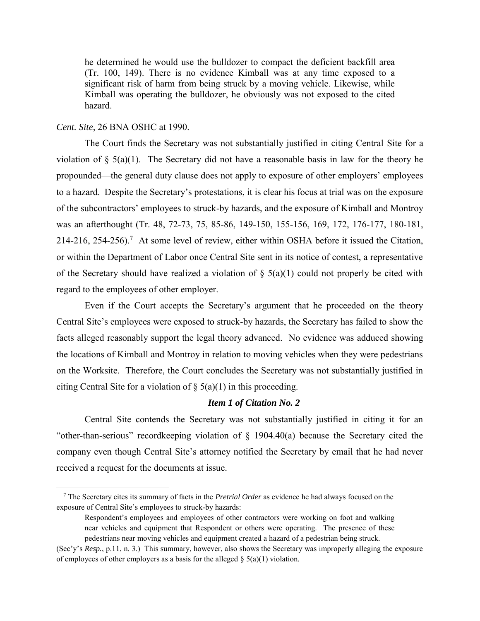he determined he would use the bulldozer to compact the deficient backfill area (Tr. 100, 149). There is no evidence Kimball was at any time exposed to a significant risk of harm from being struck by a moving vehicle. Likewise, while Kimball was operating the bulldozer, he obviously was not exposed to the cited hazard.

### *Cent. Site*, 26 BNA OSHC at 1990.

 $\overline{\phantom{a}}$ 

The Court finds the Secretary was not substantially justified in citing Central Site for a violation of  $\S$  5(a)(1). The Secretary did not have a reasonable basis in law for the theory he propounded—the general duty clause does not apply to exposure of other employers' employees to a hazard. Despite the Secretary's protestations, it is clear his focus at trial was on the exposure of the subcontractors' employees to struck-by hazards, and the exposure of Kimball and Montroy was an afterthought (Tr. 48, 72-73, 75, 85-86, 149-150, 155-156, 169, 172, 176-177, 180-181, 214-216, 254-256).<sup>7</sup> At some level of review, either within OSHA before it issued the Citation, or within the Department of Labor once Central Site sent in its notice of contest, a representative of the Secretary should have realized a violation of  $\S$  5(a)(1) could not properly be cited with regard to the employees of other employer.

Even if the Court accepts the Secretary's argument that he proceeded on the theory Central Site's employees were exposed to struck-by hazards, the Secretary has failed to show the facts alleged reasonably support the legal theory advanced. No evidence was adduced showing the locations of Kimball and Montroy in relation to moving vehicles when they were pedestrians on the Worksite. Therefore, the Court concludes the Secretary was not substantially justified in citing Central Site for a violation of  $\S$  5(a)(1) in this proceeding.

## *Item 1 of Citation No. 2*

Central Site contends the Secretary was not substantially justified in citing it for an "other-than-serious" recordkeeping violation of § 1904.40(a) because the Secretary cited the company even though Central Site's attorney notified the Secretary by email that he had never received a request for the documents at issue.

<sup>7</sup> The Secretary cites its summary of facts in the *Pretrial Order* as evidence he had always focused on the exposure of Central Site's employees to struck-by hazards:

Respondent's employees and employees of other contractors were working on foot and walking near vehicles and equipment that Respondent or others were operating. The presence of these pedestrians near moving vehicles and equipment created a hazard of a pedestrian being struck.

<sup>(</sup>Sec'y's *Resp.*, p.11, n. 3.) This summary, however, also shows the Secretary was improperly alleging the exposure of employees of other employers as a basis for the alleged  $\S$  5(a)(1) violation.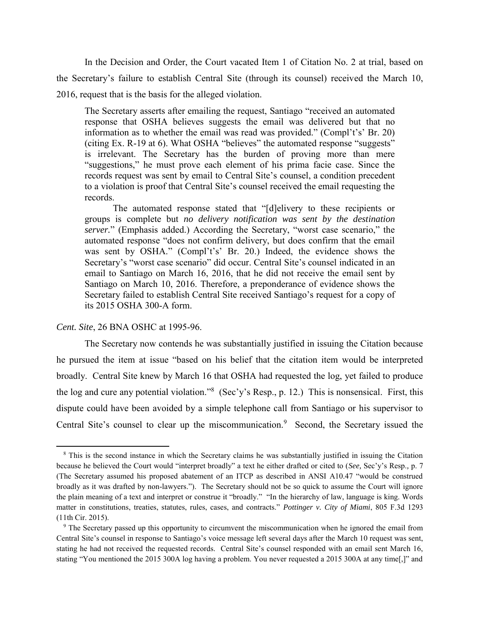In the Decision and Order, the Court vacated Item 1 of Citation No. 2 at trial, based on the Secretary's failure to establish Central Site (through its counsel) received the March 10, 2016, request that is the basis for the alleged violation.

The Secretary asserts after emailing the request, Santiago "received an automated response that OSHA believes suggests the email was delivered but that no information as to whether the email was read was provided." (Compl't's' Br. 20) (citing Ex. R-19 at 6). What OSHA "believes" the automated response "suggests" is irrelevant. The Secretary has the burden of proving more than mere "suggestions," he must prove each element of his prima facie case. Since the records request was sent by email to Central Site's counsel, a condition precedent to a violation is proof that Central Site's counsel received the email requesting the records.

The automated response stated that "[d]elivery to these recipients or groups is complete but *no delivery notification was sent by the destination server.*" (Emphasis added.) According the Secretary, "worst case scenario," the automated response "does not confirm delivery, but does confirm that the email was sent by OSHA." (Compl't's' Br. 20.) Indeed, the evidence shows the Secretary's "worst case scenario" did occur. Central Site's counsel indicated in an email to Santiago on March 16, 2016, that he did not receive the email sent by Santiago on March 10, 2016. Therefore, a preponderance of evidence shows the Secretary failed to establish Central Site received Santiago's request for a copy of its 2015 OSHA 300-A form.

### *Cent. Site*, 26 BNA OSHC at 1995-96.

 $\overline{\phantom{a}}$ 

The Secretary now contends he was substantially justified in issuing the Citation because he pursued the item at issue "based on his belief that the citation item would be interpreted broadly. Central Site knew by March 16 that OSHA had requested the log, yet failed to produce the log and cure any potential violation."<sup>8</sup> (Sec'y's Resp., p. 12.) This is nonsensical. First, this dispute could have been avoided by a simple telephone call from Santiago or his supervisor to Central Site's counsel to clear up the miscommunication.<sup>9</sup> Second, the Secretary issued the

<sup>&</sup>lt;sup>8</sup> This is the second instance in which the Secretary claims he was substantially justified in issuing the Citation because he believed the Court would "interpret broadly" a text he either drafted or cited to (*See,* Sec'y's Resp.*,* p. 7 (The Secretary assumed his proposed abatement of an ITCP as described in ANSI A10.47 "would be construed broadly as it was drafted by non-lawyers."). The Secretary should not be so quick to assume the Court will ignore the plain meaning of a text and interpret or construe it "broadly." "In the hierarchy of law, language is king. Words matter in constitutions, treaties, statutes, rules, cases, and contracts." *Pottinger v. City of Miami*, 805 F.3d 1293 (11th Cir. 2015).

<sup>&</sup>lt;sup>9</sup> The Secretary passed up this opportunity to circumvent the miscommunication when he ignored the email from Central Site's counsel in response to Santiago's voice message left several days after the March 10 request was sent, stating he had not received the requested records. Central Site's counsel responded with an email sent March 16, stating "You mentioned the 2015 300A log having a problem. You never requested a 2015 300A at any time[,]" and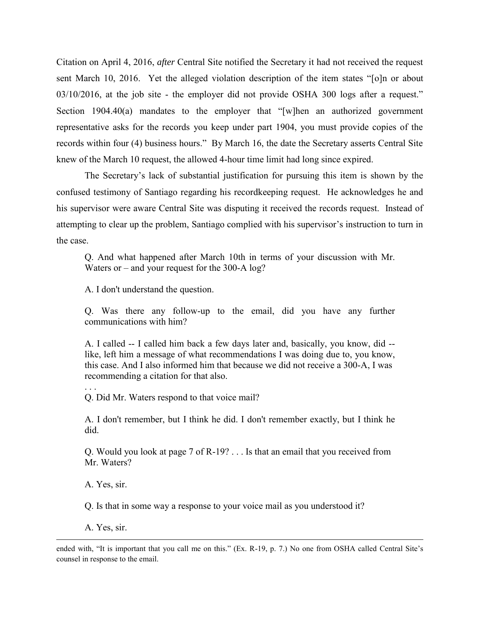Citation on April 4, 2016, *after* Central Site notified the Secretary it had not received the request sent March 10, 2016. Yet the alleged violation description of the item states "[o]n or about 03/10/2016, at the job site - the employer did not provide OSHA 300 logs after a request." Section 1904.40(a) mandates to the employer that "[w]hen an authorized government representative asks for the records you keep under part 1904, you must provide copies of the records within four (4) business hours." By March 16, the date the Secretary asserts Central Site knew of the March 10 request, the allowed 4-hour time limit had long since expired.

The Secretary's lack of substantial justification for pursuing this item is shown by the confused testimony of Santiago regarding his recordkeeping request. He acknowledges he and his supervisor were aware Central Site was disputing it received the records request. Instead of attempting to clear up the problem, Santiago complied with his supervisor's instruction to turn in the case.

Q. And what happened after March 10th in terms of your discussion with Mr. Waters or – and your request for the 300-A log?

A. I don't understand the question.

Q. Was there any follow-up to the email, did you have any further communications with him?

A. I called -- I called him back a few days later and, basically, you know, did - like, left him a message of what recommendations I was doing due to, you know, this case. And I also informed him that because we did not receive a 300-A, I was recommending a citation for that also.

Q. Did Mr. Waters respond to that voice mail?

A. I don't remember, but I think he did. I don't remember exactly, but I think he did.

Q. Would you look at page 7 of R-19? . . . Is that an email that you received from Mr. Waters?

A. Yes, sir.

. . .

Q. Is that in some way a response to your voice mail as you understood it?

A. Yes, sir.

 $\overline{a}$ 

ended with, "It is important that you call me on this." (Ex. R-19, p. 7.) No one from OSHA called Central Site's counsel in response to the email.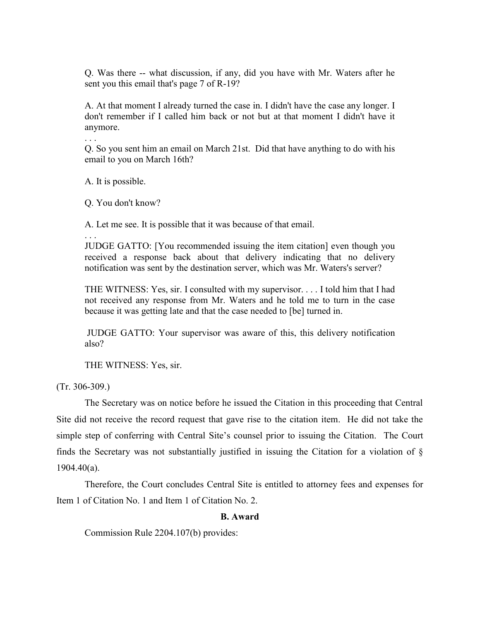Q. Was there -- what discussion, if any, did you have with Mr. Waters after he sent you this email that's page 7 of R-19?

A. At that moment I already turned the case in. I didn't have the case any longer. I don't remember if I called him back or not but at that moment I didn't have it anymore.

Q. So you sent him an email on March 21st. Did that have anything to do with his email to you on March 16th?

A. It is possible.

. . .

Q. You don't know?

A. Let me see. It is possible that it was because of that email.

. . . JUDGE GATTO: [You recommended issuing the item citation] even though you received a response back about that delivery indicating that no delivery notification was sent by the destination server, which was Mr. Waters's server?

THE WITNESS: Yes, sir. I consulted with my supervisor. . . . I told him that I had not received any response from Mr. Waters and he told me to turn in the case because it was getting late and that the case needed to [be] turned in.

JUDGE GATTO: Your supervisor was aware of this, this delivery notification also?

THE WITNESS: Yes, sir.

(Tr. 306-309.)

The Secretary was on notice before he issued the Citation in this proceeding that Central Site did not receive the record request that gave rise to the citation item. He did not take the simple step of conferring with Central Site's counsel prior to issuing the Citation. The Court finds the Secretary was not substantially justified in issuing the Citation for a violation of § 1904.40(a).

Therefore, the Court concludes Central Site is entitled to attorney fees and expenses for Item 1 of Citation No. 1 and Item 1 of Citation No. 2.

## **B. Award**

Commission Rule 2204.107(b) provides: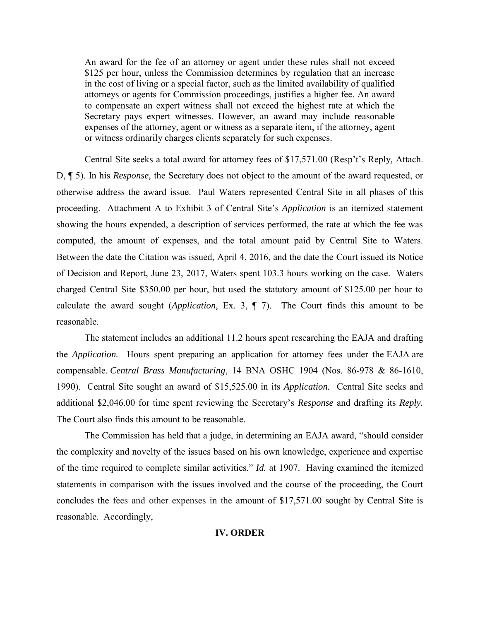An award for the fee of an attorney or agent under these rules shall not exceed \$125 per hour, unless the Commission determines by regulation that an increase in the cost of living or a special factor, such as the limited availability of qualified attorneys or agents for Commission proceedings, justifies a higher fee. An award to compensate an expert witness shall not exceed the highest rate at which the Secretary pays expert witnesses. However, an award may include reasonable expenses of the attorney, agent or witness as a separate item, if the attorney, agent or witness ordinarily charges clients separately for such expenses.

Central Site seeks a total award for attorney fees of \$17,571.00 (Resp't's Reply*,* Attach. D, ¶ 5). In his *Response,* the Secretary does not object to the amount of the award requested, or otherwise address the award issue. Paul Waters represented Central Site in all phases of this proceeding. Attachment A to Exhibit 3 of Central Site's *Application* is an itemized statement showing the hours expended, a description of services performed, the rate at which the fee was computed, the amount of expenses, and the total amount paid by Central Site to Waters. Between the date the Citation was issued, April 4, 2016, and the date the Court issued its Notice of Decision and Report, June 23, 2017, Waters spent 103.3 hours working on the case. Waters charged Central Site \$350.00 per hour, but used the statutory amount of \$125.00 per hour to calculate the award sought (*Application,* Ex. 3, ¶ 7). The Court finds this amount to be reasonable.

The statement includes an additional 11.2 hours spent researching the EAJA and drafting the *Application.* Hours spent preparing an application for attorney fees under the EAJA are compensable. *Central Brass Manufacturing*, 14 BNA OSHC 1904 (Nos. 86-978 & 86-1610, 1990). Central Site sought an award of \$15,525.00 in its *Application.* Central Site seeks and additional \$2,046.00 for time spent reviewing the Secretary's *Response* and drafting its *Reply.* The Court also finds this amount to be reasonable.

The Commission has held that a judge, in determining an EAJA award, "should consider the complexity and novelty of the issues based on his own knowledge, experience and expertise of the time required to complete similar activities." *Id.* at 1907. Having examined the itemized statements in comparison with the issues involved and the course of the proceeding, the Court concludes the fees and other expenses in the amount of \$17,571.00 sought by Central Site is reasonable. Accordingly,

### **IV. ORDER**